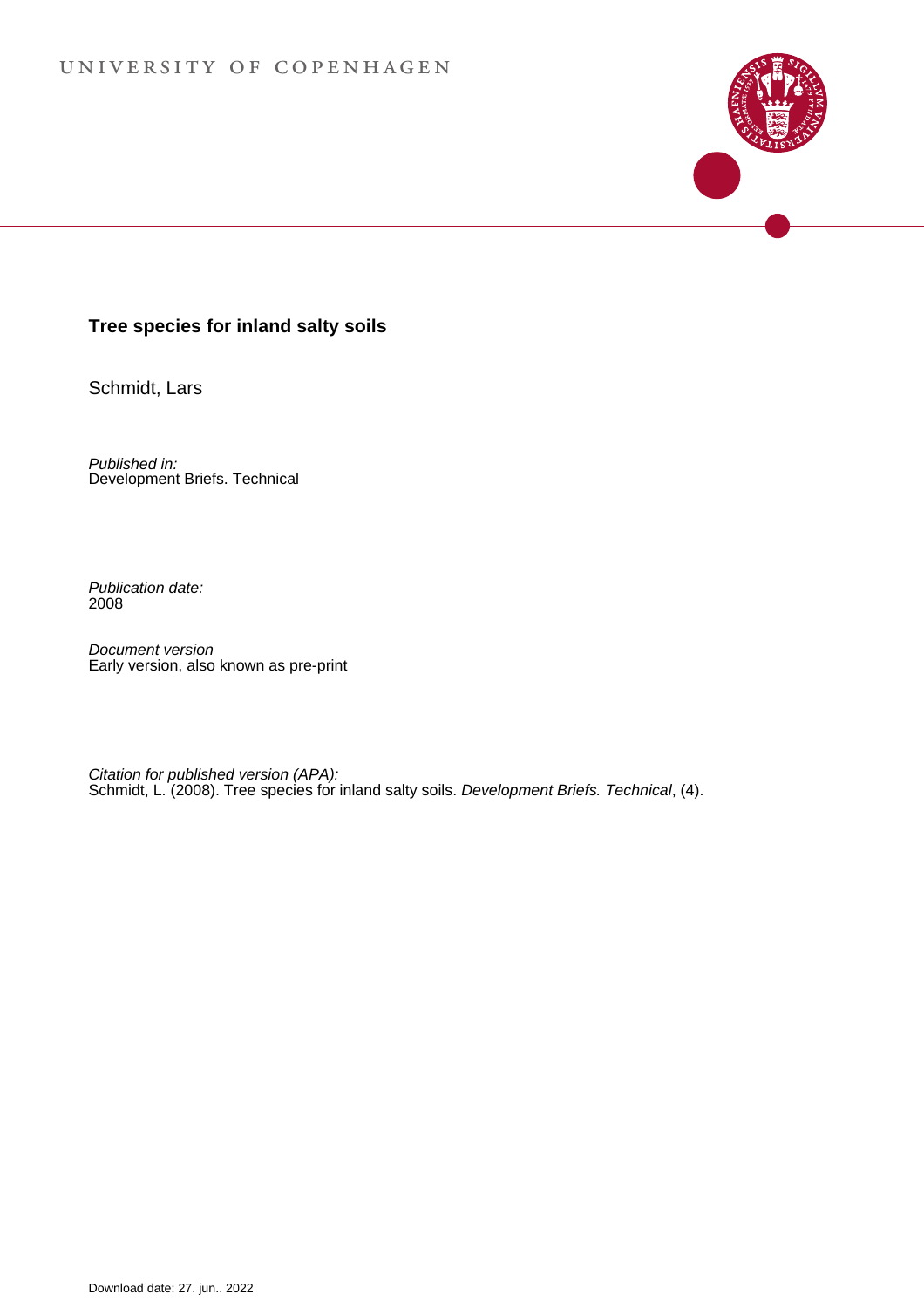### **Tree species for inland salty soils**

Schmidt, Lars

Published in: Development Briefs. Technical

Publication date: 2008

Document version Early version, also known as pre-print

Citation for published version (APA): [Schmidt, L.](https://curis.ku.dk/portal/da/persons/lars-schmidt(c53ab289-509c-4801-9528-7e90cc0ff4cf).html) (2008). [Tree species for inland salty soils.](https://curis.ku.dk/portal/da/publications/tree-species-for-inland-salty-soils(1a534670-a1c4-11dd-b6ae-000ea68e967b).html) Development Briefs. Technical, (4).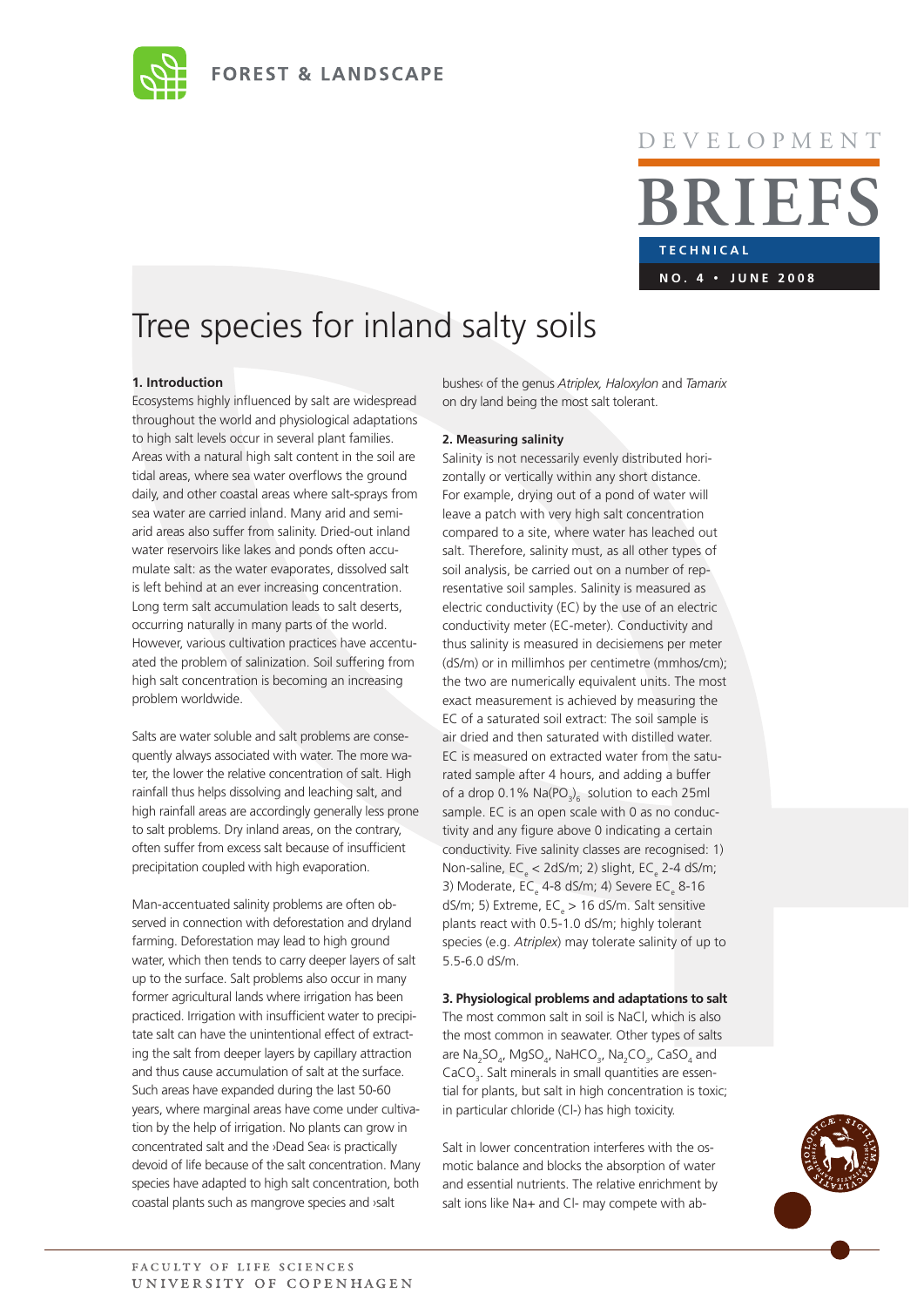

# **T E C H N I C A L BRIEFS** D E V E L O P M E N T **<sup>n</sup> o . 4 · J u ne 2 0 0 8**

## Tree species for inland salty soils

#### **1. Introduction**

Ecosystems highly influenced by salt are widespread throughout the world and physiological adaptations to high salt levels occur in several plant families. Areas with a natural high salt content in the soil are tidal areas, where sea water overflows the ground daily, and other coastal areas where salt-sprays from sea water are carried inland. Many arid and semiarid areas also suffer from salinity. Dried-out inland water reservoirs like lakes and ponds often accumulate salt: as the water evaporates, dissolved salt is left behind at an ever increasing concentration. Long term salt accumulation leads to salt deserts, occurring naturally in many parts of the world. However, various cultivation practices have accentuated the problem of salinization. Soil suffering from high salt concentration is becoming an increasing problem worldwide.

Salts are water soluble and salt problems are consequently always associated with water. The more water, the lower the relative concentration of salt. High rainfall thus helps dissolving and leaching salt, and high rainfall areas are accordingly generally less prone to salt problems. Dry inland areas, on the contrary, often suffer from excess salt because of insufficient precipitation coupled with high evaporation.

Man-accentuated salinity problems are often observed in connection with deforestation and dryland farming. Deforestation may lead to high ground water, which then tends to carry deeper layers of salt up to the surface. Salt problems also occur in many former agricultural lands where irrigation has been practiced. Irrigation with insufficient water to precipitate salt can have the unintentional effect of extracting the salt from deeper layers by capillary attraction and thus cause accumulation of salt at the surface. Such areas have expanded during the last 50-60 years, where marginal areas have come under cultivation by the help of irrigation. No plants can grow in concentrated salt and the ›Dead Sea‹ is practically devoid of life because of the salt concentration. Many species have adapted to high salt concentration, both coastal plants such as mangrove species and ›salt

bushes‹ of the genus *Atriplex, Haloxylon* and *Tamarix*  on dry land being the most salt tolerant.

#### **2. Measuring salinity**

Salinity is not necessarily evenly distributed horizontally or vertically within any short distance. For example, drying out of a pond of water will leave a patch with very high salt concentration compared to a site, where water has leached out salt. Therefore, salinity must, as all other types of soil analysis, be carried out on a number of representative soil samples. Salinity is measured as electric conductivity (EC) by the use of an electric conductivity meter (EC-meter). Conductivity and thus salinity is measured in decisiemens per meter (dS/m) or in millimhos per centimetre (mmhos/cm); the two are numerically equivalent units. The most exact measurement is achieved by measuring the EC of a saturated soil extract: The soil sample is air dried and then saturated with distilled water. EC is measured on extracted water from the saturated sample after 4 hours, and adding a buffer of a drop 0.1%  $\text{Na(PO}_3)_6$  solution to each 25ml sample. EC is an open scale with 0 as no conductivity and any figure above 0 indicating a certain conductivity. Five salinity classes are recognised: 1) Non-saline,  $EC_{e}$  < 2dS/m; 2) slight,  $EC_{e}$  2-4 dS/m; 3) Moderate,  $EC_{e}$  4-8 dS/m; 4) Severe  $EC_{e}$  8-16 dS/m; 5) Extreme,  $EC_e > 16$  dS/m. Salt sensitive plants react with 0.5-1.0 dS/m; highly tolerant species (e.g. *Atriplex*) may tolerate salinity of up to 5.5-6.0 dS/m.

**3. Physiological problems and adaptations to salt** The most common salt in soil is NaCl, which is also the most common in seawater. Other types of salts are  $\text{Na}_2\text{SO}_4$ ,  $\text{MgSO}_4$ ,  $\text{NaHCO}_3$ ,  $\text{Na}_2\text{CO}_3$ ,  $\text{CaSO}_4$  and  $CaCO<sub>3</sub>$ . Salt minerals in small quantities are essential for plants, but salt in high concentration is toxic; in particular chloride (Cl-) has high toxicity.

Salt in lower concentration interferes with the osmotic balance and blocks the absorption of water and essential nutrients. The relative enrichment by salt ions like Na+ and Cl- may compete with ab-